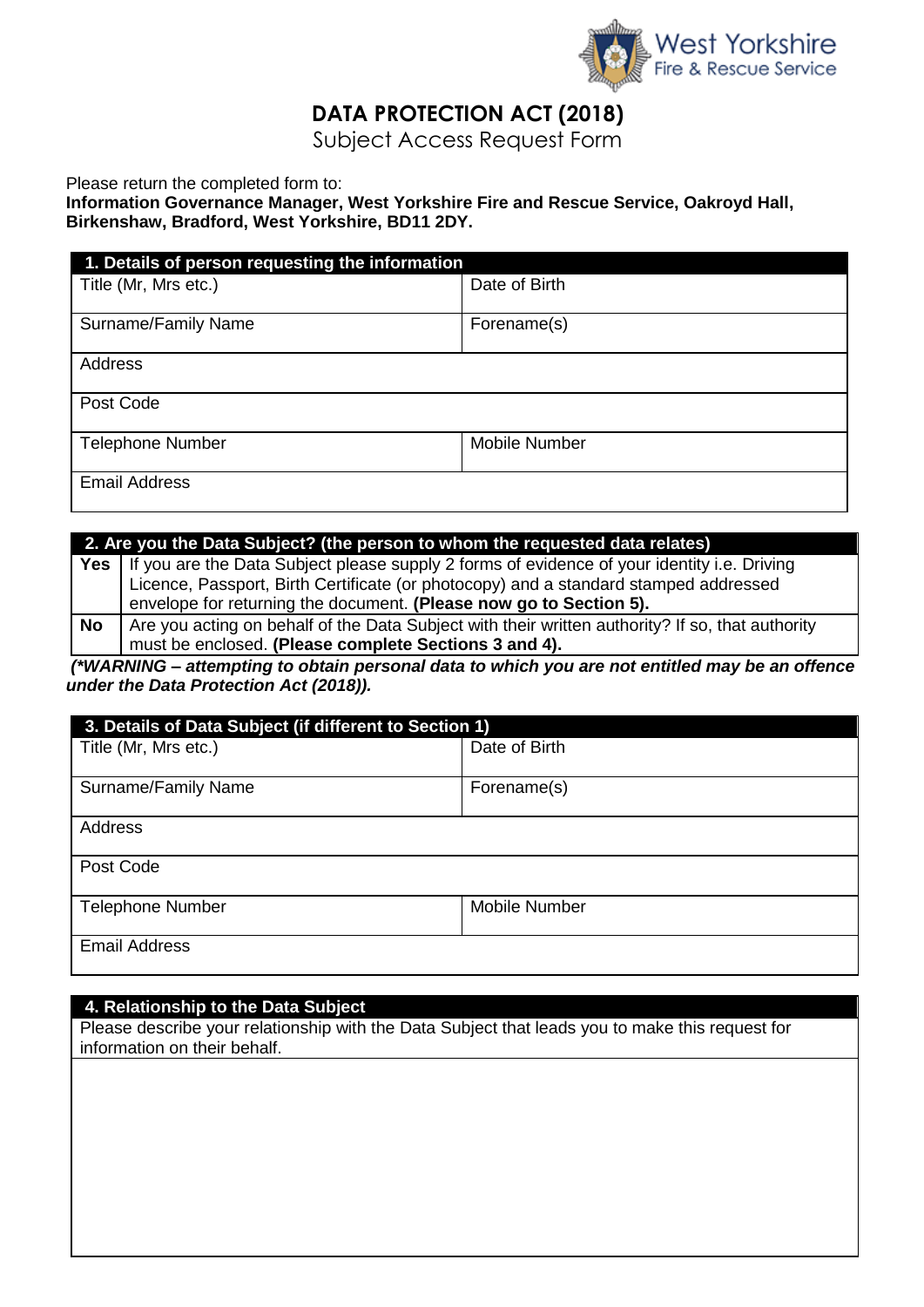

## **DATA PROTECTION ACT (2018)**

Subject Access Request Form

Please return the completed form to:

**Information Governance Manager, West Yorkshire Fire and Rescue Service, Oakroyd Hall, Birkenshaw, Bradford, West Yorkshire, BD11 2DY.**

| 1. Details of person requesting the information |                      |  |  |  |
|-------------------------------------------------|----------------------|--|--|--|
| Title (Mr, Mrs etc.)                            | Date of Birth        |  |  |  |
| Surname/Family Name                             | Forename(s)          |  |  |  |
| Address                                         |                      |  |  |  |
| Post Code                                       |                      |  |  |  |
| <b>Telephone Number</b>                         | <b>Mobile Number</b> |  |  |  |
| <b>Email Address</b>                            |                      |  |  |  |

| 2. Are you the Data Subject? (the person to whom the requested data relates) |                                                                                                   |  |  |
|------------------------------------------------------------------------------|---------------------------------------------------------------------------------------------------|--|--|
|                                                                              | Yes   If you are the Data Subject please supply 2 forms of evidence of your identity i.e. Driving |  |  |
|                                                                              | Licence, Passport, Birth Certificate (or photocopy) and a standard stamped addressed              |  |  |
|                                                                              | envelope for returning the document. (Please now go to Section 5).                                |  |  |
| <b>No</b>                                                                    | Are you acting on behalf of the Data Subject with their written authority? If so, that authority  |  |  |
|                                                                              | must be enclosed. (Please complete Sections 3 and 4).                                             |  |  |

*(\*WARNING – attempting to obtain personal data to which you are not entitled may be an offence under the Data Protection Act (2018)).*

| 3. Details of Data Subject (if different to Section 1) |                      |  |  |  |
|--------------------------------------------------------|----------------------|--|--|--|
| Title (Mr, Mrs etc.)                                   | Date of Birth        |  |  |  |
| Surname/Family Name                                    | Forename(s)          |  |  |  |
| Address                                                |                      |  |  |  |
| Post Code                                              |                      |  |  |  |
| <b>Telephone Number</b>                                | <b>Mobile Number</b> |  |  |  |
| <b>Email Address</b>                                   |                      |  |  |  |

## **4. Relationship to the Data Subject**

Please describe your relationship with the Data Subject that leads you to make this request for information on their behalf.